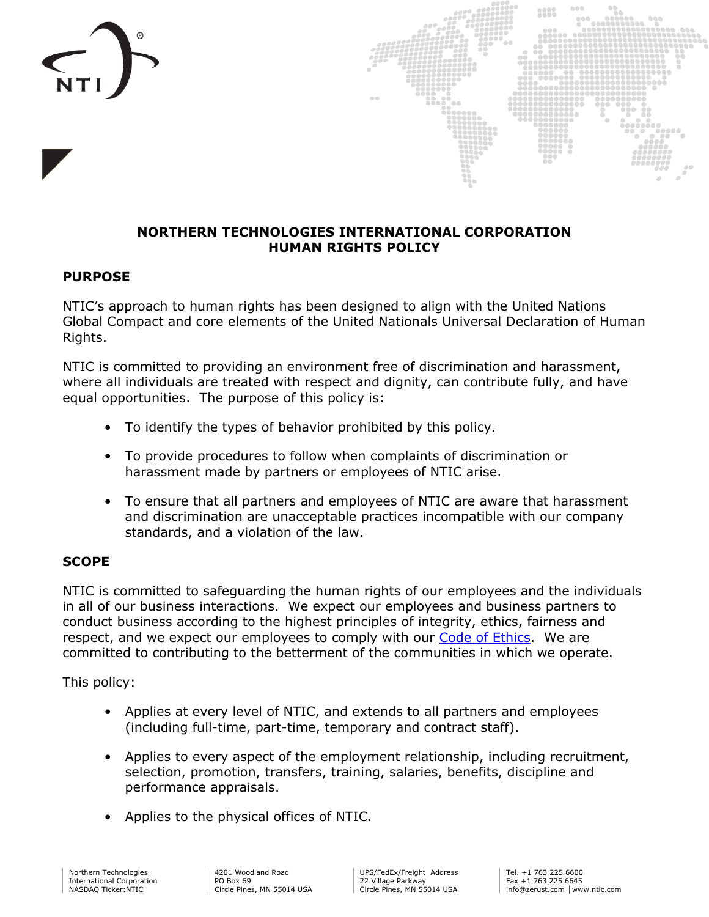



#### **NORTHERN TECHNOLOGIES INTERNATIONAL CORPORATION HUMAN RIGHTS POLICY**

#### **PURPOSE**

NTIC's approach to human rights has been designed to align with the United Nations Global Compact and core elements of the United Nationals Universal Declaration of Human Rights.

NTIC is committed to providing an environment free of discrimination and harassment, where all individuals are treated with respect and dignity, can contribute fully, and have equal opportunities. The purpose of this policy is:

- To identify the types of behavior prohibited by this policy.
- To provide procedures to follow when complaints of discrimination or harassment made by partners or employees of NTIC arise.
- To ensure that all partners and employees of NTIC are aware that harassment and discrimination are unacceptable practices incompatible with our company standards, and a violation of the law.

### **SCOPE**

NTIC is committed to safeguarding the human rights of our employees and the individuals in all of our business interactions. We expect our employees and business partners to conduct business according to the highest principles of integrity, ethics, fairness and respect, and we expect our employees to comply with our [Code of Ethics.](https://ir.ntic.com/static-files/0346068d-d057-4e08-ae01-76e04b646da2) We are committed to contributing to the betterment of the communities in which we operate.

This policy:

- Applies at every level of NTIC, and extends to all partners and employees (including full-time, part-time, temporary and contract staff).
- Applies to every aspect of the employment relationship, including recruitment, selection, promotion, transfers, training, salaries, benefits, discipline and performance appraisals.
- Applies to the physical offices of NTIC.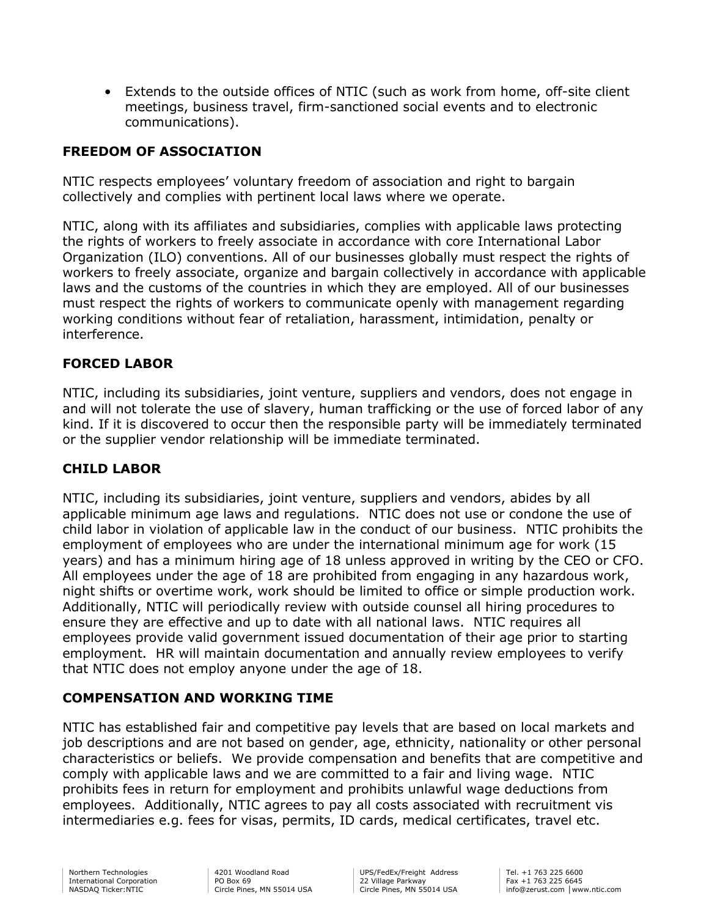• Extends to the outside offices of NTIC (such as work from home, off-site client meetings, business travel, firm-sanctioned social events and to electronic communications).

# **FREEDOM OF ASSOCIATION**

NTIC respects employees' voluntary freedom of association and right to bargain collectively and complies with pertinent local laws where we operate.

NTIC, along with its affiliates and subsidiaries, complies with applicable laws protecting the rights of workers to freely associate in accordance with core International Labor Organization (ILO) conventions. All of our businesses globally must respect the rights of workers to freely associate, organize and bargain collectively in accordance with applicable laws and the customs of the countries in which they are employed. All of our businesses must respect the rights of workers to communicate openly with management regarding working conditions without fear of retaliation, harassment, intimidation, penalty or interference.

## **FORCED LABOR**

NTIC, including its subsidiaries, joint venture, suppliers and vendors, does not engage in and will not tolerate the use of slavery, human trafficking or the use of forced labor of any kind. If it is discovered to occur then the responsible party will be immediately terminated or the supplier vendor relationship will be immediate terminated.

### **CHILD LABOR**

NTIC, including its subsidiaries, joint venture, suppliers and vendors, abides by all applicable minimum age laws and regulations. NTIC does not use or condone the use of child labor in violation of applicable law in the conduct of our business. NTIC prohibits the employment of employees who are under the international minimum age for work (15 years) and has a minimum hiring age of 18 unless approved in writing by the CEO or CFO. All employees under the age of 18 are prohibited from engaging in any hazardous work, night shifts or overtime work, work should be limited to office or simple production work. Additionally, NTIC will periodically review with outside counsel all hiring procedures to ensure they are effective and up to date with all national laws. NTIC requires all employees provide valid government issued documentation of their age prior to starting employment. HR will maintain documentation and annually review employees to verify that NTIC does not employ anyone under the age of 18.

## **COMPENSATION AND WORKING TIME**

NTIC has established fair and competitive pay levels that are based on local markets and job descriptions and are not based on gender, age, ethnicity, nationality or other personal characteristics or beliefs. We provide compensation and benefits that are competitive and comply with applicable laws and we are committed to a fair and living wage. NTIC prohibits fees in return for employment and prohibits unlawful wage deductions from employees. Additionally, NTIC agrees to pay all costs associated with recruitment vis intermediaries e.g. fees for visas, permits, ID cards, medical certificates, travel etc.

4201 Woodland Road PO Box 69 Circle Pines, MN 55014 USA UPS/FedEx/Freight Address 22 Village Parkway Circle Pines, MN 55014 USA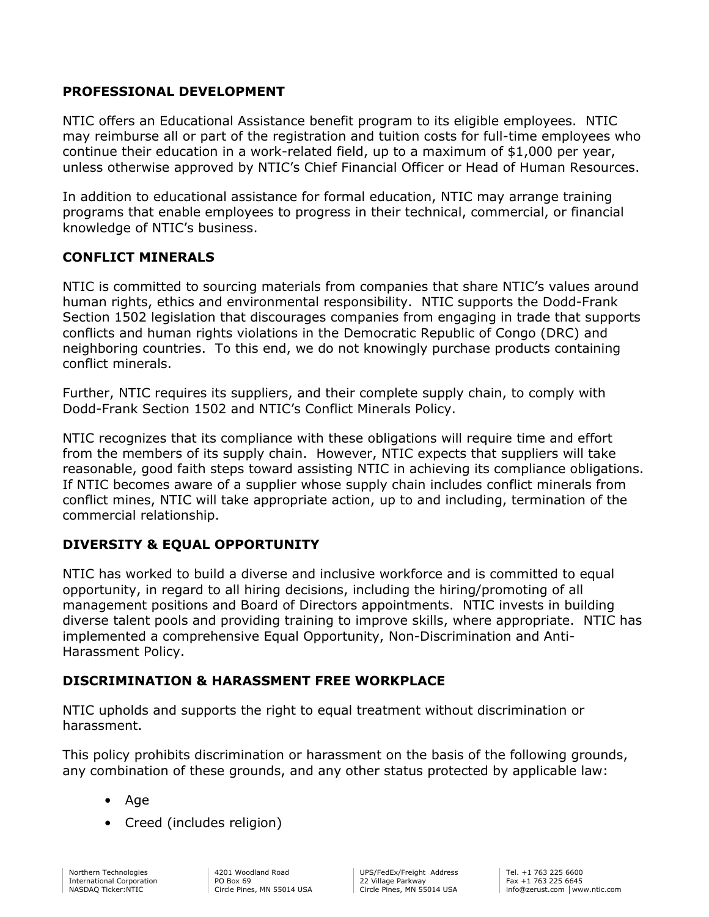## **PROFESSIONAL DEVELOPMENT**

NTIC offers an Educational Assistance benefit program to its eligible employees. NTIC may reimburse all or part of the registration and tuition costs for full-time employees who continue their education in a work-related field, up to a maximum of \$1,000 per year, unless otherwise approved by NTIC's Chief Financial Officer or Head of Human Resources.

In addition to educational assistance for formal education, NTIC may arrange training programs that enable employees to progress in their technical, commercial, or financial knowledge of NTIC's business.

### **CONFLICT MINERALS**

NTIC is committed to sourcing materials from companies that share NTIC's values around human rights, ethics and environmental responsibility. NTIC supports the Dodd-Frank Section 1502 legislation that discourages companies from engaging in trade that supports conflicts and human rights violations in the Democratic Republic of Congo (DRC) and neighboring countries. To this end, we do not knowingly purchase products containing conflict minerals.

Further, NTIC requires its suppliers, and their complete supply chain, to comply with Dodd-Frank Section 1502 and NTIC's Conflict Minerals Policy.

NTIC recognizes that its compliance with these obligations will require time and effort from the members of its supply chain. However, NTIC expects that suppliers will take reasonable, good faith steps toward assisting NTIC in achieving its compliance obligations. If NTIC becomes aware of a supplier whose supply chain includes conflict minerals from conflict mines, NTIC will take appropriate action, up to and including, termination of the commercial relationship.

## **DIVERSITY & EQUAL OPPORTUNITY**

NTIC has worked to build a diverse and inclusive workforce and is committed to equal opportunity, in regard to all hiring decisions, including the hiring/promoting of all management positions and Board of Directors appointments. NTIC invests in building diverse talent pools and providing training to improve skills, where appropriate. NTIC has implemented a comprehensive Equal Opportunity, Non-Discrimination and Anti-Harassment Policy.

## **DISCRIMINATION & HARASSMENT FREE WORKPLACE**

NTIC upholds and supports the right to equal treatment without discrimination or harassment.

This policy prohibits discrimination or harassment on the basis of the following grounds, any combination of these grounds, and any other status protected by applicable law:

- Age
- Creed (includes religion)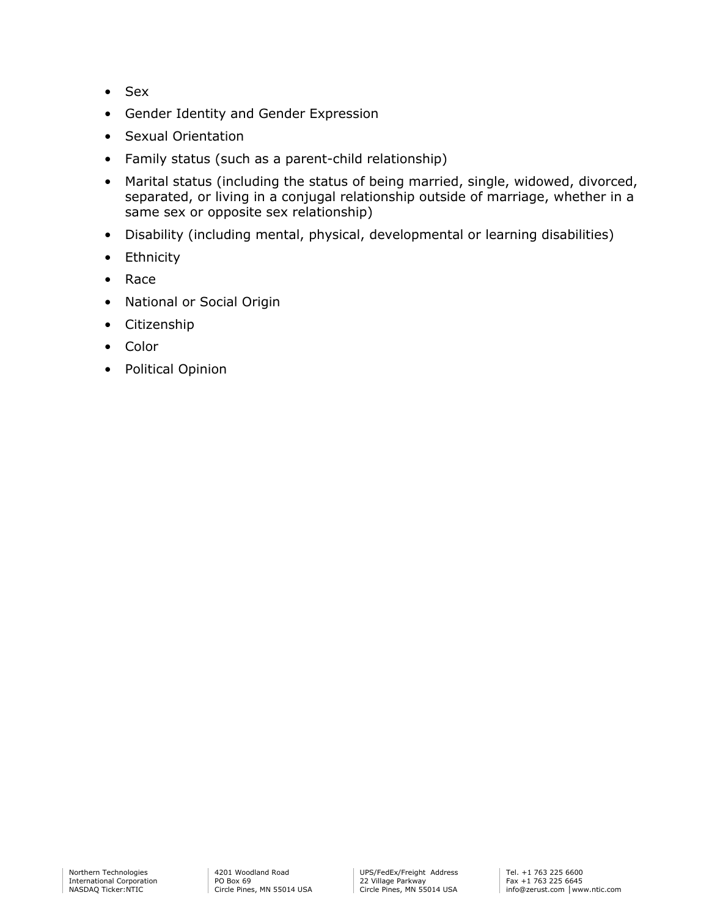- Sex
- Gender Identity and Gender Expression
- Sexual Orientation
- Family status (such as a parent-child relationship)
- Marital status (including the status of being married, single, widowed, divorced, separated, or living in a conjugal relationship outside of marriage, whether in a same sex or opposite sex relationship)
- Disability (including mental, physical, developmental or learning disabilities)
- Ethnicity
- Race
- National or Social Origin
- Citizenship
- Color
- Political Opinion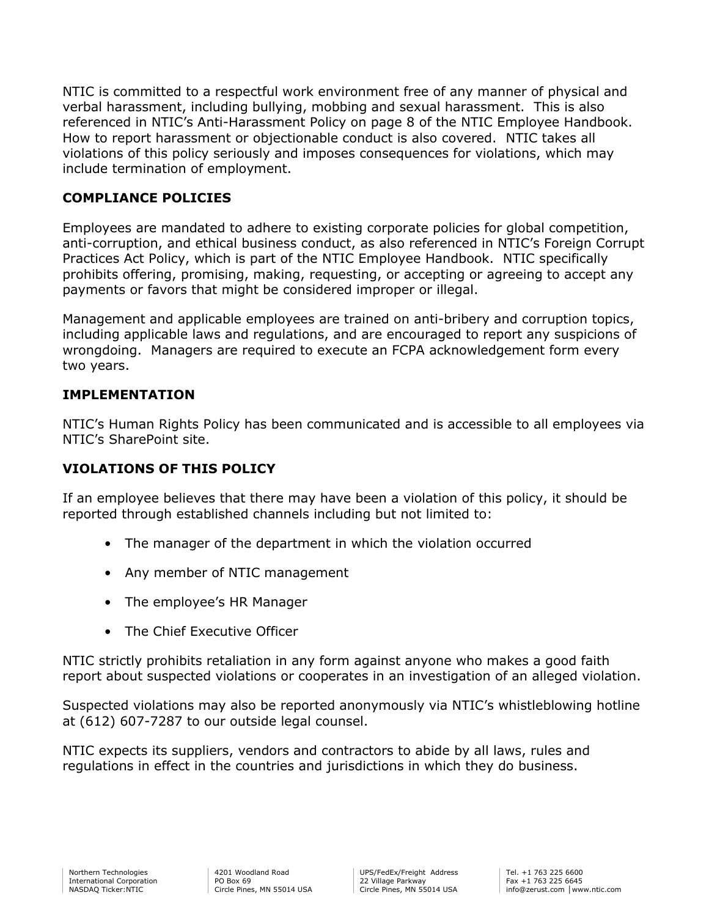NTIC is committed to a respectful work environment free of any manner of physical and verbal harassment, including bullying, mobbing and sexual harassment. This is also referenced in NTIC's Anti-Harassment Policy on page 8 of the NTIC Employee Handbook. How to report harassment or objectionable conduct is also covered. NTIC takes all violations of this policy seriously and imposes consequences for violations, which may include termination of employment.

# **COMPLIANCE POLICIES**

Employees are mandated to adhere to existing corporate policies for global competition, anti-corruption, and ethical business conduct, as also referenced in NTIC's Foreign Corrupt Practices Act Policy, which is part of the NTIC Employee Handbook. NTIC specifically prohibits offering, promising, making, requesting, or accepting or agreeing to accept any payments or favors that might be considered improper or illegal.

Management and applicable employees are trained on anti-bribery and corruption topics, including applicable laws and regulations, and are encouraged to report any suspicions of wrongdoing. Managers are required to execute an FCPA acknowledgement form every two years.

### **IMPLEMENTATION**

NTIC's Human Rights Policy has been communicated and is accessible to all employees via NTIC's SharePoint site.

## **VIOLATIONS OF THIS POLICY**

If an employee believes that there may have been a violation of this policy, it should be reported through established channels including but not limited to:

- The manager of the department in which the violation occurred
- Any member of NTIC management
- The employee's HR Manager
- The Chief Executive Officer

NTIC strictly prohibits retaliation in any form against anyone who makes a good faith report about suspected violations or cooperates in an investigation of an alleged violation.

Suspected violations may also be reported anonymously via NTIC's whistleblowing hotline at (612) 607-7287 to our outside legal counsel.

NTIC expects its suppliers, vendors and contractors to abide by all laws, rules and regulations in effect in the countries and jurisdictions in which they do business.